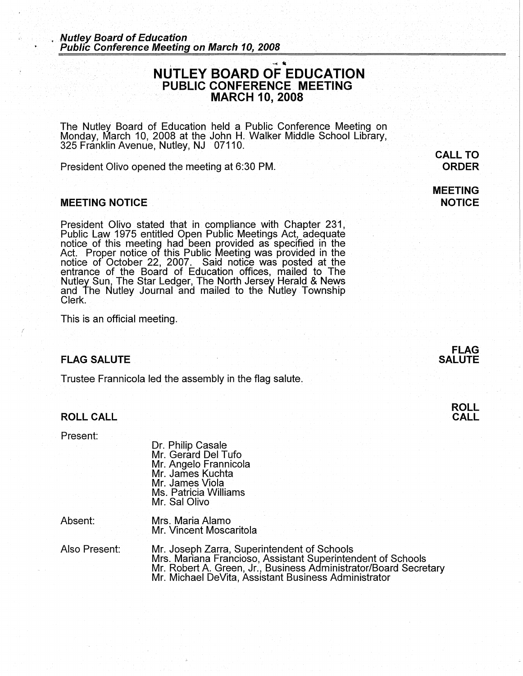## $\frac{1}{2}$ **NUTLEY BOARD OF EDUCATION PUBLIC CONFERENCE. MEETING MARCH 10, 2008**

The Nutley Board of Education held a Public Conference Meeting on Monday, March 10, 2008 at the John H. Walker Middle School Library, 325 Franklin Avenue, Nutley, NJ 07110. ·

President Olivo opened the meeting at 6:30 PM.

#### **MEETING NOTICE** .

President Olivo stated that in compliance with Chapter 231, Public Law 1975 entitled Open Public Meetings Act, adequate notice of this meeting had been provided as specified in the Act. Proper notice of this Public Meeting was provided in the notice of October 22, 2007. Said notice was posted at the entrance of the Board of Education offices, mailed to The Nutley Sun, The Star Ledger, The North Jersey Herald & News and The Nutley Journal and mailed to the Nutley Township Clerk.

This is an official meeting.

#### **FLAG SALUTE**

Trustee Frannicola led the assembly in the flag salute.

### **ROLL CALL**

Present:

*(* 

Dr. Philip Casale Mr. Gerard Del Tufo Mr. Angelo Frannicola Mr. James Kuchta Mr. James Viola Ms. Patricia Williams Mr. Sal Olivo

Absent:

Mrs. Maria Alamo Mr. Vincent Moscaritola

Also Present: Mr. Joseph Zarra, Superintendent of Schools Mrs. Mariana Francioso, Assistant Superintendent of Schools Mr. Robert A. Green, Jr., Business Administrator/Board Secretary Mr. Michael DeVita, Assistant Business Administrator

## **FLAG SALUTE**

**ROLL CALL** 

**ORDER MEETING** 

**NOTICE** 

**CALL TO**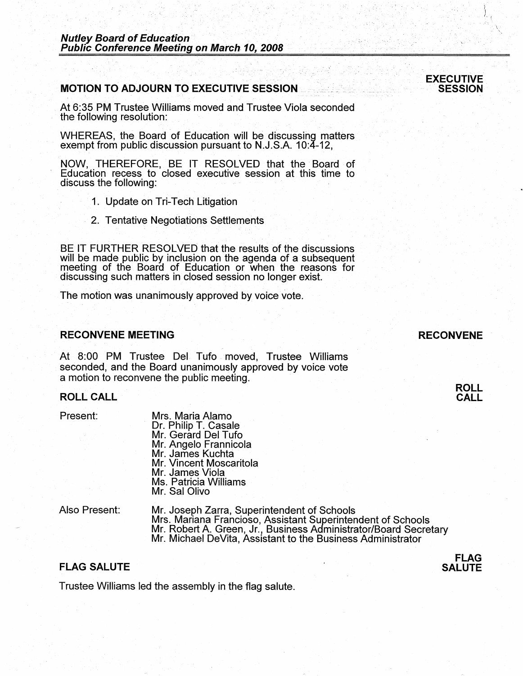## **MOTION TO ADJOURN TO EXECUTIVE SESSION**

At 6:35 PM Trustee Williams moved and Trustee Viola seconded the following resolution:

WHEREAS, the Board of Education will be discussing matters exempt from public discussion pursuant to N.J.S.A. 10:4-12,

**NOW,** THEREFORE, BE IT RESOLVED that the Board of Education recess to closed executive session at this time to discuss the following:

- 1. Update on Tri-Tech Litigation
- 2. Tentative Negotiations Settlements

BE IT FURTHER RESOLVED that the results of the discussions will be made public by inclusion on the agenda of a subsequent meeting of the Board of Education or when the reasons for discussing such matters in closed session no longer exist.

The motion was unanimously approved by voice vote.

### **RECONVENE MEETING**

At 8:00 PM Trustee Del Tufo moved, Trustee Williams seconded, and the Board unanimously approved by voice vote a motion to reconvene the public meeting.

#### **ROLL CALL**

Present:

Mrs. Maria Alamo Dr. Philip T. Casale Mr. Gerard Del Tufo Mr. Angelo Frannicola Mr. James Kuchta Mr. Vincent Moscaritola Mr. James Viola Ms. Patricia Williams Mr. Sal Olivo

Also Present:

Mr. Joseph Zarra, Superintendent of Schools Mrs. Mariana Franciosa, Assistant Superintendent of Schools Mr. Robert A. Green, Jr., Business Administrator/Board Secretary<br>Mr. Michael DeVita, Assistant to the Business Administrator

### **FLAG SALUTE**

Trustee Williams led the assembly in the flag salute.



I I I.'

**RECONVENE** 

**ROLL CALL** 

**FLAG SALUTE**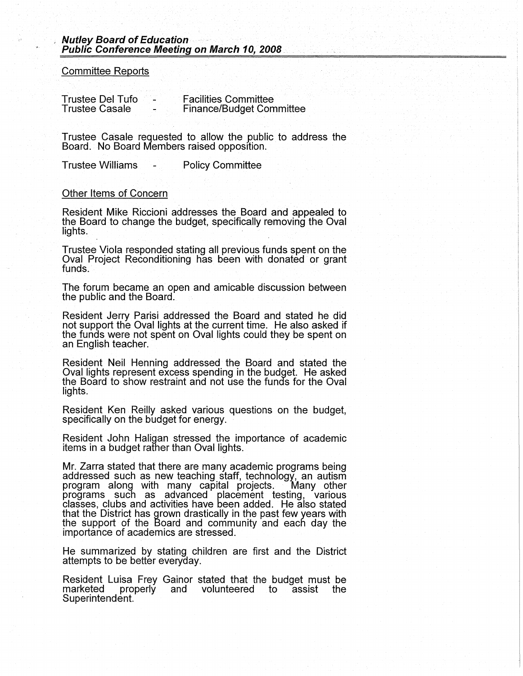Committee Reports

Trustee Del Tufo Trustee Casale Facilities Committee Finance/Budget Committee

Trustee Casale requested to allow the public to address the Board. No Board Members raised opposition.

Trustee Williams - Policy Committee

#### Other Items of Concern

Resident Mike Riccioni addresses the Board and appealed to the Board to change the budget, specifically removing the Oval lights.

Trustee Viola responded stating all previous funds spent on the Oval Project Reconditioning has been with donated or grant funds.

The forum became an open and amicable discussion between the public and the Board.

Resident Jerry Parisi addressed the Board and stated he did not support the Oval lights at the current time. He also asked if the funds were not spent on Oval lights could they be spent on an English teacher.

Resident Neil Henning addressed the Board and stated the Oval lights represent excess spending in the budget. He asked the Board to show restraint and not use the funds for the Oval lights.

Resident Ken Reilly asked various questions on the budget, specifically on the budget for energy.

Resident John Haligan stressed the importance of academic items in a budget rather than Oval lights.

Mr. Zarra stated that there are many academic programs being addressed such as new teaching staff, technology, an autism program along with many capital projects. Many other programs such as advanced placement testing, various classes, clubs and activities have been added. He also stated that the District has grown drastically in the past few years with the support of the Board and community and each day the importance of academics are stressed.

He summarized by stating children are first and the District attempts to be better everyday.

Resident Luisa Frey Gainor stated that the budget must be properly and volunteered to assist the Superintendent.